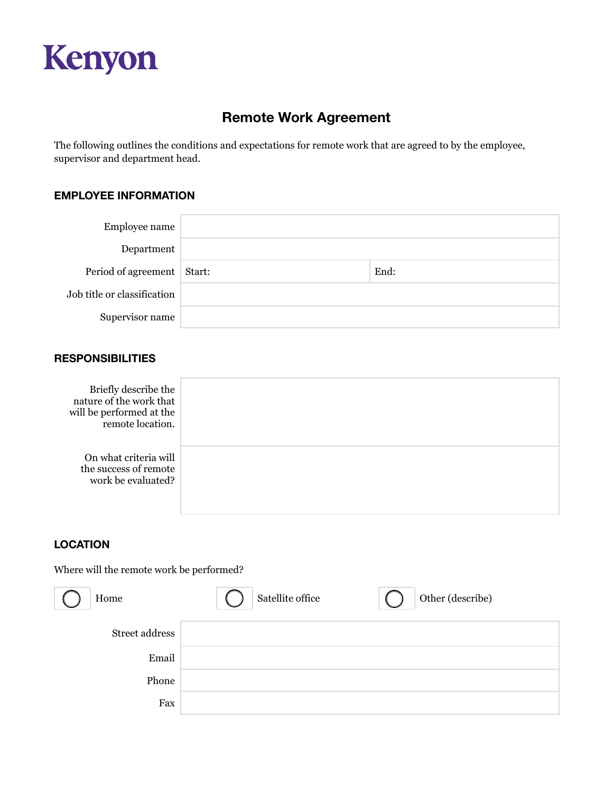

# **Remote Work Agreement**

The following outlines the conditions and expectations for remote work that are agreed to by the employee, supervisor and department head.

# **EMPLOYEE INFORMATION**

| Employee name               |      |
|-----------------------------|------|
| Department                  |      |
| Period of agreement Start:  | End: |
| Job title or classification |      |
| Supervisor name             |      |

#### **RESPONSIBILITIES**

| Briefly describe the<br>nature of the work that<br>will be performed at the<br>remote location. |  |
|-------------------------------------------------------------------------------------------------|--|
| On what criteria will<br>the success of remote<br>work be evaluated?                            |  |

# **LOCATION**

Where will the remote work be performed?

| Home           | Satellite office | Other (describe) |
|----------------|------------------|------------------|
| Street address |                  |                  |
| Email          |                  |                  |
| Phone          |                  |                  |
| Fax            |                  |                  |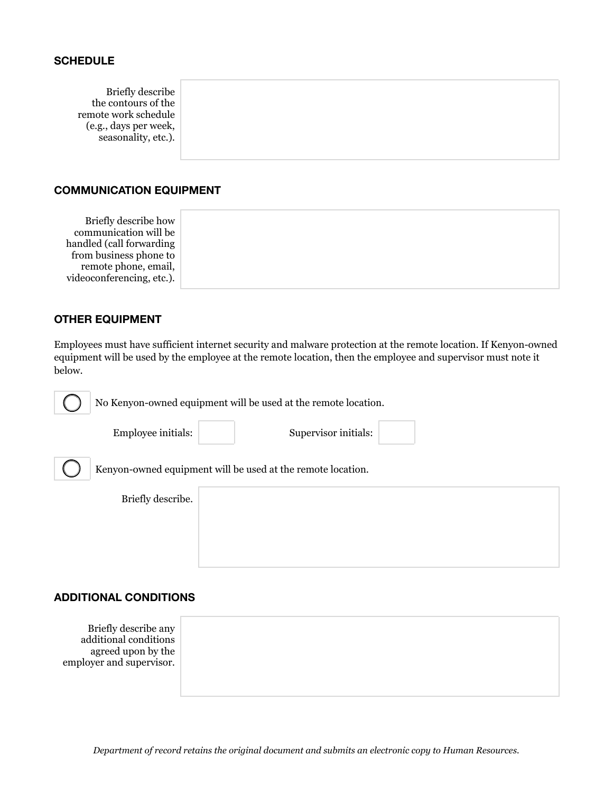#### **SCHEDULE**

Briefly describe the contours of the remote work schedule (e.g., days per week, seasonality, etc.).

#### **COMMUNICATION EQUIPMENT**

Briefly describe how communication will be handled (call forwarding from business phone to remote phone, email, videoconferencing, etc.).

### **OTHER EQUIPMENT**

Employees must have sufficient internet security and malware protection at the remote location. If Kenyon-owned equipment will be used by the employee at the remote location, then the employee and supervisor must note it below.

No Kenyon-owned equipment will be used at the remote location.

Employee initials: Supervisor initials:

Kenyon-owned equipment will be used at the remote location.

|  | Briefly describe. |
|--|-------------------|
|--|-------------------|

# **ADDITIONAL CONDITIONS**

Briefly describe any additional conditions agreed upon by the employer and supervisor.

*Department of record retains the original document and submits an electronic copy to Human Resources.*